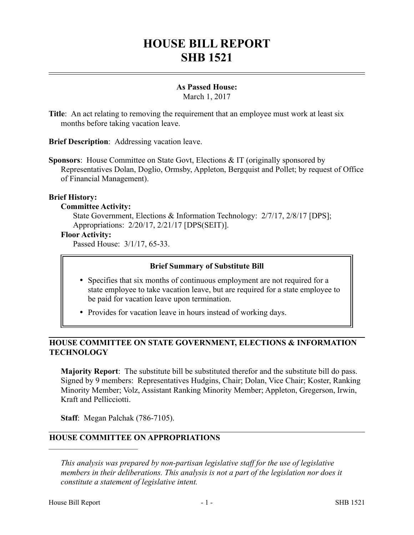# **HOUSE BILL REPORT SHB 1521**

## **As Passed House:**

March 1, 2017

**Title**: An act relating to removing the requirement that an employee must work at least six months before taking vacation leave.

**Brief Description**: Addressing vacation leave.

**Sponsors**: House Committee on State Govt, Elections & IT (originally sponsored by Representatives Dolan, Doglio, Ormsby, Appleton, Bergquist and Pollet; by request of Office of Financial Management).

## **Brief History:**

#### **Committee Activity:**

State Government, Elections & Information Technology: 2/7/17, 2/8/17 [DPS]; Appropriations: 2/20/17, 2/21/17 [DPS(SEIT)].

## **Floor Activity:**

Passed House: 3/1/17, 65-33.

## **Brief Summary of Substitute Bill**

- Specifies that six months of continuous employment are not required for a state employee to take vacation leave, but are required for a state employee to be paid for vacation leave upon termination.
- Provides for vacation leave in hours instead of working days.

# **HOUSE COMMITTEE ON STATE GOVERNMENT, ELECTIONS & INFORMATION TECHNOLOGY**

**Majority Report**: The substitute bill be substituted therefor and the substitute bill do pass. Signed by 9 members: Representatives Hudgins, Chair; Dolan, Vice Chair; Koster, Ranking Minority Member; Volz, Assistant Ranking Minority Member; Appleton, Gregerson, Irwin, Kraft and Pellicciotti.

**Staff**: Megan Palchak (786-7105).

# **HOUSE COMMITTEE ON APPROPRIATIONS**

*This analysis was prepared by non-partisan legislative staff for the use of legislative members in their deliberations. This analysis is not a part of the legislation nor does it constitute a statement of legislative intent.*

––––––––––––––––––––––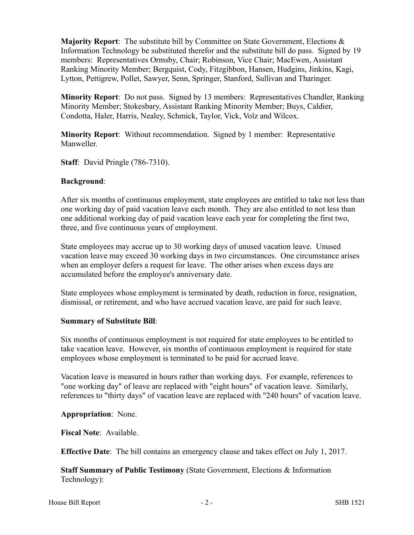**Majority Report**: The substitute bill by Committee on State Government, Elections & Information Technology be substituted therefor and the substitute bill do pass. Signed by 19 members: Representatives Ormsby, Chair; Robinson, Vice Chair; MacEwen, Assistant Ranking Minority Member; Bergquist, Cody, Fitzgibbon, Hansen, Hudgins, Jinkins, Kagi, Lytton, Pettigrew, Pollet, Sawyer, Senn, Springer, Stanford, Sullivan and Tharinger.

**Minority Report**: Do not pass. Signed by 13 members: Representatives Chandler, Ranking Minority Member; Stokesbary, Assistant Ranking Minority Member; Buys, Caldier, Condotta, Haler, Harris, Nealey, Schmick, Taylor, Vick, Volz and Wilcox.

**Minority Report**: Without recommendation. Signed by 1 member: Representative Manweller.

**Staff**: David Pringle (786-7310).

#### **Background**:

After six months of continuous employment, state employees are entitled to take not less than one working day of paid vacation leave each month. They are also entitled to not less than one additional working day of paid vacation leave each year for completing the first two, three, and five continuous years of employment.

State employees may accrue up to 30 working days of unused vacation leave. Unused vacation leave may exceed 30 working days in two circumstances. One circumstance arises when an employer defers a request for leave. The other arises when excess days are accumulated before the employee's anniversary date.

State employees whose employment is terminated by death, reduction in force, resignation, dismissal, or retirement, and who have accrued vacation leave, are paid for such leave.

#### **Summary of Substitute Bill**:

Six months of continuous employment is not required for state employees to be entitled to take vacation leave. However, six months of continuous employment is required for state employees whose employment is terminated to be paid for accrued leave.

Vacation leave is measured in hours rather than working days. For example, references to "one working day" of leave are replaced with "eight hours" of vacation leave. Similarly, references to "thirty days" of vacation leave are replaced with "240 hours" of vacation leave.

**Appropriation**: None.

**Fiscal Note**: Available.

**Effective Date**: The bill contains an emergency clause and takes effect on July 1, 2017.

**Staff Summary of Public Testimony** (State Government, Elections & Information Technology):